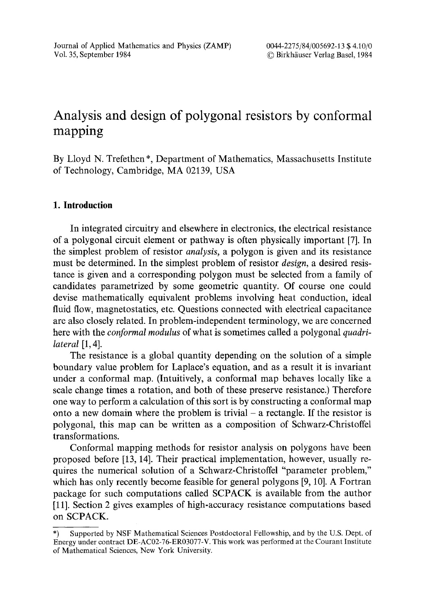# Analysis and design of polygonal resistors by conformal mapping

By Lloyd N. Trefethen\*, Department of Mathematics, Massachusetts Institute of Technology, Cambridge, MA 02139, USA

# **I. Introduction**

In integrated circuitry and elsewhere in electronics, the electrical resistance of a polygonal circuit element or pathway is often physically important [7]. In the simplest problem of resistor *analysis,* a polygon is given and its resistance must be determined. In the simplest problem of resistor *design,* a desired resistance is given and a corresponding polygon must be selected from a family of candidates parametrized by some geometric quantity. Of course one could devise mathematically equivalent problems involving heat conduction, ideal fluid flow, magnetostatics, etc. Questions connected with electrical capacitance are also closely related. In problem-independent terminology, we are concerned here with the *conformal modulus* of what is sometimes called a polygonal *quadrilateral* [1, 4].

The resistance is a global quantity depending on the solution of a simple boundary value problem for Laplace's equation, and as a result it is invariant under a conformal map. (Intuitively, a conformal map behaves locally like a scale change times a rotation, and both of these preserve resistance.) Therefore one way to perform a calculation of this sort is by constructing a conformal map onto a new domain where the problem is trivial  $-$  a rectangle. If the resistor is polygonal, this map can be written as a composition of Schwarz-Christoffel transformations.

Conformal mapping methods for resistor analysis on polygons have been proposed before [13, 14]. Their practical implementation, however, usually requires the numerical solution of a Schwarz-Christoffel "parameter problem," which has only recently become feasible for general polygons [9, 10]. A Fortran package for such computations called SCPACK is available from the author [11]. Section 2 gives examples of high-accuracy resistance computations based on SCPACK.

<sup>\*)</sup> Supported by NSF Mathematical Sciences Postdoctoral Fellowship, and by the U.S. Dept. of Energy under contract DE-AC02-76-ER03077-V. This work was performed at the Courant Institute of Mathematical Sciences, New York University.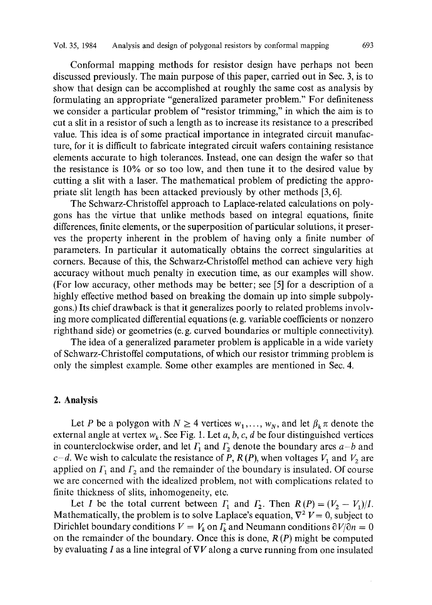Conformal mapping methods for resistor design have perhaps not been discussed previously. The main purpose of this paper, carried out in Sec. 3, is to show that design can be accomplished at roughly the same cost as analysis by formulating an appropriate "generalized parameter problem." For definiteness we consider a particular problem of "resistor trimming," in which the aim is to cut a slit in a resistor of such a length as to increase its resistance to a prescribed value. This idea is of some practical importance in integrated circuit manufacture, for it is difficult to fabricate integrated circuit wafers containing resistance elements accurate to high tolerances. Instead, one can design the wafer so that the resistance is 10% or so too low, and then tune it to the desired value by cutting a slit with a laser. The mathematical problem of predicting the appropriate slit length has been attacked previously by other methods [3, 6].

The Schwarz-Christoffel approach to Laplace-related calculations on polygons has the virtue that unlike methods based on integral equations, finite differences, finite elements, or the superposition of particular solutions, it preserves the property inherent in the problem of having only a finite number of parameters. In particular it automatically obtains the correct singularities at corners. Because of this, the Schwarz-Christoffel method can achieve very high accuracy without much penalty in execution time, as our examples will show. (For low accuracy, other methods may be better; see [5] for a description of a highly effective method based on breaking the domain up into simple subpolygons.) Its chief drawback is that it generalizes poorly to related problems involving more complicated differential equations (e. g. variable coefficients or nonzero righthand side) or geometries (e. g. curved boundaries or multiple connectivity).

The idea of a generalized parameter problem is applicable in a wide variety of Schwarz-Christoffel computations, of which our resistor trimming problem is only the simplest example. Some other examples are mentioned in Sec. 4.

## **2. Analysis**

Let P be a polygon with  $N \geq 4$  vertices  $w_1, \ldots, w_N$ , and let  $\beta_k \pi$  denote the external angle at vertex  $w_k$ . See Fig. 1. Let a, b, c, d be four distinguished vertices in counterclockwise order, and let  $\Gamma_1$  and  $\Gamma_2$  denote the boundary arcs  $a-b$  and  $c-d$ . We wish to calculate the resistance of P,  $R(P)$ , when voltages  $V_1$  and  $V_2$  are applied on  $\Gamma_1$  and  $\Gamma_2$  and the remainder of the boundary is insulated. Of course we are concerned with the idealized problem, not with complications related to finite thickness of slits, inhomogeneity, etc.

Let *I* be the total current between  $\Gamma_1$  and  $\Gamma_2$ . Then  $R(P) = (V_2 - V_1)/I$ . Mathematically, the problem is to solve Laplace's equation,  $\nabla^2 V = 0$ , subject to Dirichlet boundary conditions  $V = V_k$  on  $\Gamma_k$  and Neumann conditions  $\partial V/\partial n = 0$ on the remainder of the boundary. Once this is done,  $R(P)$  might be computed by evaluating I as a line integral of  $\nabla V$  along a curve running from one insulated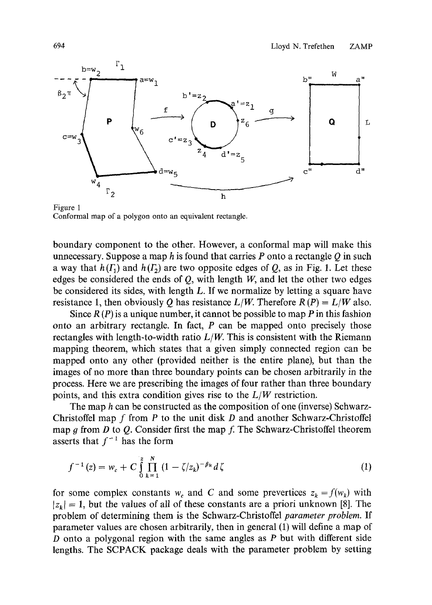

Figure 1 Conformal map of a polygon onto an equivalent rectangle.

boundary component to the other. However, a conformal map will make this unnecessary. Suppose a map h is found that carries  $P$  onto a rectangle  $O$  in such a way that  $h(\Gamma_1)$  and  $h(\Gamma_2)$  are two opposite edges of O, as in Fig. 1. Let these edges be considered the ends of  $O$ , with length  $W$ , and let the other two edges be considered its sides, with length L. If we normalize by letting a square have resistance 1, then obviously Q has resistance  $L/W$ . Therefore  $R(P) = L/W$  also.

Since  $R(P)$  is a unique number, it cannot be possible to map P in this fashion onto an arbitrary rectangle. In fact,  $P$  can be mapped onto precisely those rectangles with length-to-width ratio  $L/W$ . This is consistent with the Riemann mapping theorem, which states that a given simply connected region can be mapped onto any other (provided neither is the entire plane), but than the images of no more than three boundary points can be chosen arbitrarily in the process. Here we are prescribing the images of four rather than three boundary points, and this extra condition gives rise to the *L/W* restriction.

The map h can be constructed as the composition of one (inverse) Schwarz-Christoffel map f from  $P$  to the unit disk  $D$  and another Schwarz-Christoffel map g from  $D$  to  $Q$ . Consider first the map f. The Schwarz-Christoffel theorem asserts that  $f^{-1}$  has the form

$$
f^{-1}(z) = w_c + C \int_{0}^{z} \prod_{k=1}^{N} (1 - \zeta/z_k)^{-\beta_k} d\zeta
$$
 (1)

for some complex constants  $w_c$  and C and some prevertices  $z_k = f(w_k)$  with  $|z_k| = 1$ , but the values of all of these constants are a priori unknown [8]. The problem of determining them is the Schwarz-Christoffel *parameter problem.* If parameter values are chosen arbitrarily, then in general (1) will define a map of D onto a polygonal region with the same angles as  $P$  but with different side lengths. The SCPACK package deals with the parameter problem by setting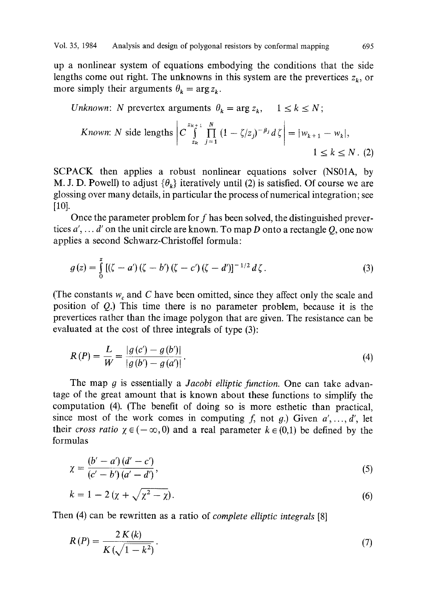up a nonlinear system of equations embodying the conditions that the side lengths come out right. The unknowns in this system are the prevertices  $z_k$ , or more simply their arguments  $\theta_k = \arg z_k$ .

*Unknown*: N prevertex arguments 
$$
\theta_k = \arg z_k
$$
,  $1 \le k \le N$ ;

*known*: *N* side lengths 
$$
\left| C \int_{z_k}^{z_{k+1}} \prod_{j=1}^{N} (1 - \zeta / z_j)^{-\beta_j} d\zeta \right| = |w_{k+1} - w_k|,
$$

$$
1 \le k \le N. (2)
$$

SCPACK then applies a robust nonlinear equations solver (NS01A, by M. J. D. Powell) to adjust  $\{\theta_k\}$  iteratively until (2) is satisfied. Of course we are glossing over many details, in particular the process of numerical integration; see [10].

Once the parameter problem for f has been solved, the distinguished prevertices *a', ... d'* on the unit circle are known. To map D onto a rectangle Q, one now applies a second Schwarz-Christoffel formula:

$$
g(z) = \int_{0}^{z} \left[ (\zeta - a')(\zeta - b')(\zeta - c')(\zeta - d') \right]^{-1/2} d\zeta.
$$
 (3)

(The constants  $w_c$  and C have been omitted, since they affect only the scale and position of  $Q$ .) This time there is no parameter problem, because it is the prevertices rather than the image polygon that are given. The resistance can be evaluated at the cost of three integrals of type (3):

$$
R(P) = \frac{L}{W} = \frac{|g(c') - g(b')|}{|g(b') - g(a')|}.
$$
\n(4)

The map g is essentially a *Jacobi elliptic function.* One can take advantage of the great amount that is known about these functions to simplify the computation (4). (The benefit of doing so is more esthetic than practical, since most of the work comes in computing f, not g.) Given  $a'$ , ..., d', let their *cross ratio*  $\chi \in (-\infty, 0)$  and a real parameter  $k \in (0,1)$  be defined by the formulas

$$
\chi = \frac{(b' - a')(d' - c')}{(c' - b')(a' - d')},\tag{5}
$$

$$
k = 1 - 2\left(\chi + \sqrt{\chi^2 - \chi}\right). \tag{6}
$$

Then (4) can be rewritten as a ratio of *complete elliptic integrals* [8]

$$
R(P) = \frac{2K(k)}{K(\sqrt{1-k^2})}.
$$
\n<sup>(7)</sup>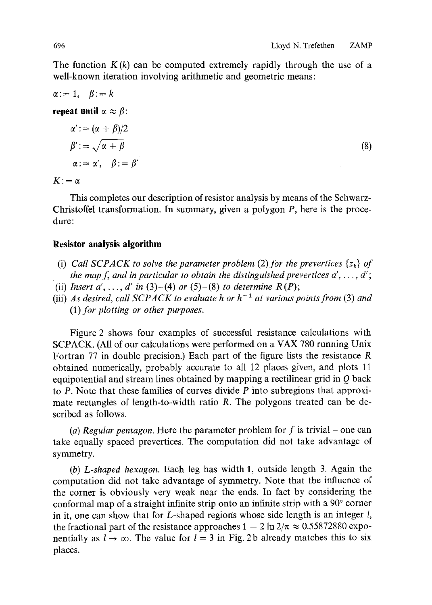The function  $K(k)$  can be computed extremely rapidly through the use of a well-known iteration involving arithmetic and geometric means:

$$
\alpha:=1, \quad \beta:=k
$$

**repeat until**  $\alpha \approx \beta$ :

$$
\alpha' := (\alpha + \beta)/2
$$
  
\n
$$
\beta' := \sqrt{\alpha + \beta}
$$
  
\n
$$
\alpha := \alpha', \quad \beta := \beta'
$$
\n(8)

 $K: = \alpha$ 

This completes our description of resistor analysis by means of the Schwarz-Christoffel transformation. In summary, given a polygon P, here is the procedure:

# **Resistor analysis algorithm**

- (i) *Call SCPACK to solve the parameter problem (2) for the prevertices*  $\{z_k\}$  *of the map f, and in particular to obtain the distinguished prevertices*  $a', \ldots, d'$ *;* (ii) *Insert a', ..., d' in* (3)–(4) *or* (5)–(8) *to determine*  $R(P)$ ;
- (iii) *As desired, call SCPACK to evaluate h or*  $h^{-1}$  *at various points from (3) and*
- *(l) for plotting or other purposes.*

Figure 2 shows four examples of successful resistance calculations with SCPACK. (All of our calculations were performed on a VAX 780 running Unix Fortran 77 in double precision.) Each part of the figure lists the resistance R obtained numerically, probably accurate to all 12 places given, and plots 11 equipotential and stream lines obtained by mapping a rectilinear grid in  $Q$  back to  $P$ . Note that these families of curves divide  $P$  into subregions that approximate rectangles of length-to-width ratio R. The polygons treated can be described as follows.

(a) Regular pentagon. Here the parameter problem for  $f$  is trivial – one can take equally spaced prevertices. The computation did not take advantage of symmetry.

*(b) L-shaped hexagon.* Each leg has width 1, outside length 3. Again the computation did not take advantage of symmetry. Note that the influence of the corner is obviously very weak near the ends. In fact by considering the conformal map of a straight infinite strip onto an infinite strip with a  $90^\circ$  corner in it, one can show that for L-shaped regions whose side length is an integer l, the fractional part of the resistance approaches  $1 - 2 \ln 2/\pi \approx 0.55872880$  exponentially as  $l \to \infty$ . The value for  $l = 3$  in Fig. 2b already matches this to six places.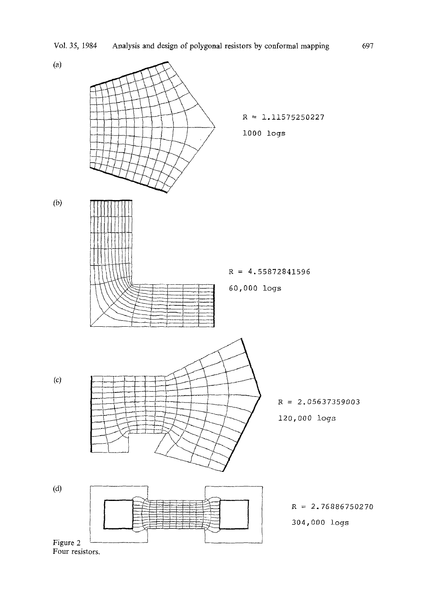

Four resistors.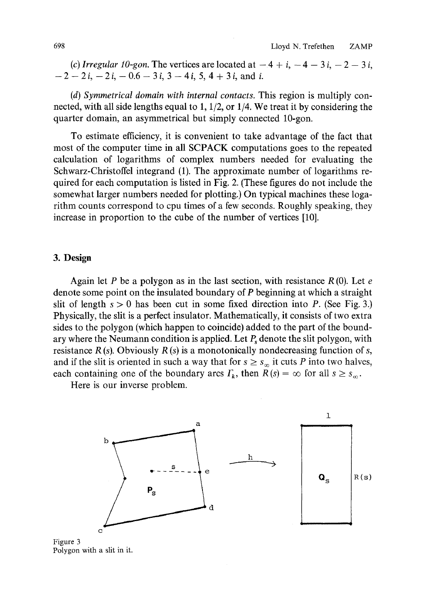*(c) Irregular 10-gon.* The vertices are located at  $-4 + i$ ,  $-4 - 3i$ ,  $-2 - 3i$ ,  $-2 - 2i, -2i, -0.6 - 3i, 3 - 4i, 5, 4 + 3i,$  and i.

*(d) Symmetrical domain with internal contacts.* This region is multiply connected, with all side lengths equal to 1, 1/2, or 1/4. We treat it by considering the quarter domain, an asymmetrical but simply connected 10-gon.

To estimate efficiency, it is convenient to take advantage of the fact that most of the computer time in all SCPACK computations goes to the repeated calculation of logarithms of complex numbers needed for evaluating the Schwarz-Christoffel integrand (1). The approximate number of logarithms required for each computation is listed in Fig. 2. (These figures do not include the somewhat larger numbers needed for plotting.) On typical machines these logarithm counts correspond to cpu times of a few seconds. Roughly speaking, they increase in proportion to the cube of the number of vertices [10].

# **3. Design**

Again let P be a polygon as in the last section, with resistance  $R(0)$ . Let e denote some point on the insulated boundary of P beginning at which a straight slit of length  $s > 0$  has been cut in some fixed direction into P. (See Fig. 3.) Physically, the slit is a perfect insulator. Mathematically, it consists of two extra sides to the polygon (which happen to coincide) added to the part of the boundary where the Neumann condition is applied. Let  $P_s$  denote the slit polygon, with resistance  $R(s)$ . Obviously  $R(s)$  is a monotonically nondecreasing function of s, and if the slit is oriented in such a way that for  $s \geq s_{\infty}$  it cuts P into two halves, each containing one of the boundary arcs  $\Gamma_k$ , then  $R(s) = \infty$  for all  $s \geq s_\infty$ .

Here is our inverse problem.



Figure 3 Polygon with a slit in it.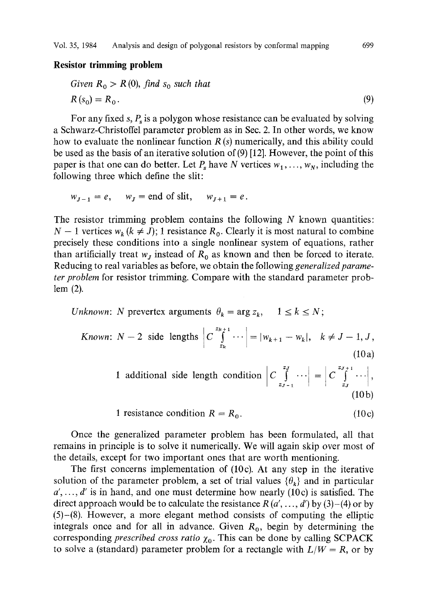### **Resistor trimming problem**

Given 
$$
R_0 > R(0)
$$
, find  $s_0$  such that  
\n
$$
R(s_0) = R_0.
$$
\n(9)

For any fixed s,  $P_s$  is a polygon whose resistance can be evaluated by solving a Schwarz-Christoffel parameter problem as in Sec. 2. In other words, we know how to evaluate the nonlinear function  $R(s)$  numerically, and this ability could be used as the basis of an iterative solution of (9) [12]. However, the point of this paper is that one can do better. Let  $P_s$  have N vertices  $w_1, \ldots, w_N$ , including the following three which define the slit:

$$
w_{J-1} = e, \quad w_J = \text{end of slit}, \quad w_{J+1} = e.
$$

The resistor trimming problem contains the following  $N$  known quantities:  $N-1$  vertices  $w_k (k \neq J)$ ; 1 resistance  $R_0$ . Clearly it is most natural to combine precisely these conditions into a single nonlinear system of equations, rather than artificially treat  $w_i$  instead of  $R_0$  as known and then be forced to iterate. Reducing to real variables as before, we obtain the following *generalized parameter problem* for resistor trimming. Compare with the standard parameter problem (2).

*Unknown: N* prevertex arguments  $\theta_k = \arg z_k$ ,  $1 \le k \le N$ ;

*known*: 
$$
N-2
$$
 side lengths  $C \int_{z_k}^{z_{k+1}} \cdots = |w_{k+1} - w_k|, \quad k \neq J-1, J,$   
(10a)

1 additional side length condition 
$$
\left| C \int_{z_{J-1}}^{z_J} \cdots \right| = \left| C \int_{z_J}^{z_{J+1}} \cdots \right|,
$$
 (10b)

1 resistance condition 
$$
R = R_0
$$
. (10c)

Once the generalized parameter problem has been formulated, all that remains in principle is to solve it numerically. We will again skip over most of the details, except for two important ones that are worth mentioning.

The first concerns implementation of (10c). At any step in the iterative solution of the parameter problem, a set of trial values  $\{\theta_k\}$  and in particular  $a', \ldots, d'$  is in hand, and one must determine how nearly (10c) is satisfied. The direct approach would be to calculate the resistance  $R(a',...,a')$  by (3)–(4) or by  $(5)$ - $(8)$ . However, a more elegant method consists of computing the elliptic integrals once and for all in advance. Given  $R_0$ , begin by determining the corresponding *prescribed cross ratio*  $\chi_0$ . This can be done by calling SCPACK to solve a (standard) parameter problem for a rectangle with  $L/W = R$ , or by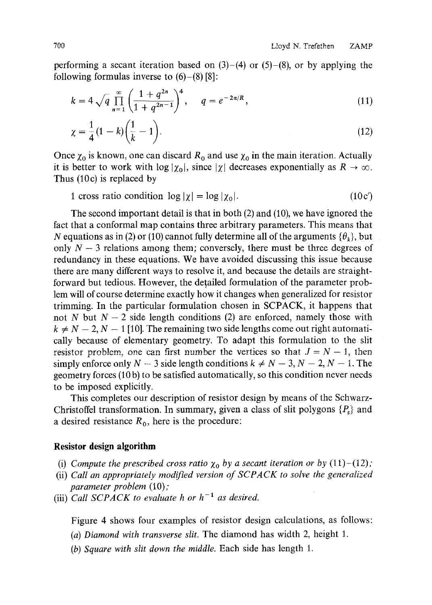performing a secant iteration based on  $(3)-(4)$  or  $(5)-(8)$ , or by applying the following formulas inverse to  $(6)-(8)$ [8]:

$$
k = 4\sqrt{q} \prod_{n=1}^{\infty} \left( \frac{1 + q^{2n}}{1 + q^{2n-1}} \right)^4, \quad q = e^{-2\pi/R}, \tag{11}
$$

$$
\chi = \frac{1}{4}(1-k)\left(\frac{1}{k}-1\right).
$$
 (12)

Once  $\chi_0$  is known, one can discard  $R_0$  and use  $\chi_0$  in the main iteration. Actually it is better to work with  $\log |\chi_0|$ , since  $|\chi|$  decreases exponentially as  $R \to \infty$ . Thus (10c) is replaced by

1 cross ratio condition  $\log |\chi| = \log |\chi_0|$ . (10c')

The second important detail is that in both (2) and (10), we have ignored the fact that a conformal map contains three arbitrary parameters. This means that N equations as in (2) or (10) cannot fully determine all of the arguments  ${\theta_k}$ , but only  $N - 3$  relations among them; conversely, there must be three degrees of redundancy in these equations. We have avoided discussing this issue because there are many different ways to resolve it, and because the details are straightforward but tedious. However, the detailed formulation of the parameter problem will of course determine exactly how it changes when generalized for resistor trimming. In the particular formulation chosen in SCPACK, it happens that not N but  $N-2$  side length conditions (2) are enforced, namely those with  $k \neq N-2$ ,  $N-1$  [10]. The remaining two side lengths come out right automatically because of elementary geometry. To adapt this formulation to the slit resistor problem, one can first number the vertices so that  $J = N - 1$ , then simply enforce only  $N - 3$  side length conditions  $k \neq N - 3$ ,  $N - 2$ ,  $N - 1$ . The geometry forces (10 b) to be satisfied automatically, so this condition never needs to be imposed explicitly.

This completes our description of resistor design by means of the Schwarz-Christoffel transformation. In summary, given a class of slit polygons  $\{P_s\}$  and a desired resistance  $R_0$ , here is the procedure:

#### **Resistor design algorithm**

- (i) *Compute the prescribed cross ratio*  $\chi_0$  *by a secant iteration or by* (11)-(12);
- (ii) *Call an appropriately modified version of SCPACK to solve the generalized parameter problem* (10);
- (iii) *Call SCPACK to evaluate h or*  $h^{-1}$  *as desired.*

Figure 4 shows four examples of resistor design calculations, as follows:

- *(a) Diamond with transverse slit.* The diamond has width 2, height 1.
- *(b) Square with slit down the middle.* Each side has length 1.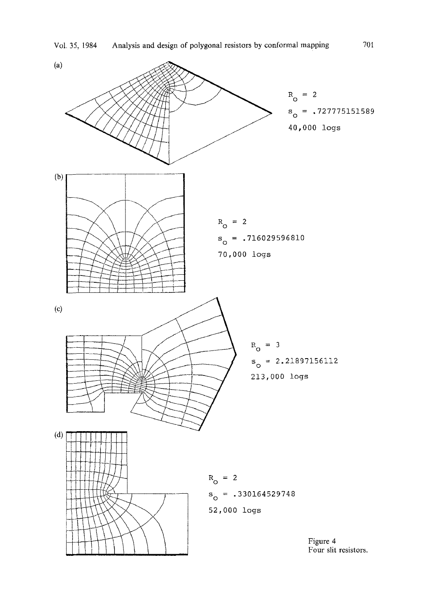Vol. 35, 1984 Analysis and design of polygonal resistors by conformal mapping  $701$ 

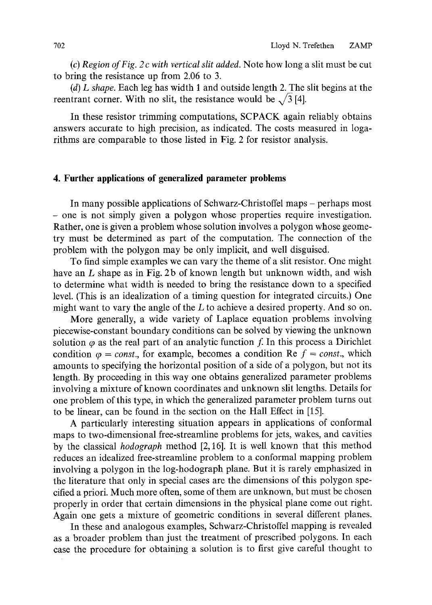*(c) Region of Fig. 2c with vertical slit added.* Note how long a slit must be cut to bring the resistance up from 2.06 to 3.

*(d) L shape.* Each leg has width 1 and outside length 2. The slit begins at the reentrant corner. With no slit, the resistance would be  $\sqrt{3}$  [4].

In these resistor trimming computations, SCPACK again reliably obtains answers accurate to high precision, as indicated. The costs measured in logarithms are comparable to those listed in Fig. 2 for resistor analysis.

# **4. Further applications of generalized parameter problems**

In many possible applications of Schwarz-Christoffel maps - perhaps most - one is not simply given a polygon whose properties require investigation. Rather, one is given a problem whose solution involves a polygon whose geometry must be determined as part of the computation. The connection of the problem with the polygon may be only implicit, and well disguised.

To find simple examples we can vary the theme of a slit resistor. One might have an L shape as in Fig. 2b of known length but unknown width, and wish to determine what width is needed to bring the resistance down to a specified level. (This is an idealization of a timing question for integrated circuits.) One might want to vary the angle of the L to achieve a desired property. And so on.

More generally, a wide variety of Laplace equation problems involving piecewise-constant boundary conditions can be solved by viewing the unknown solution  $\varphi$  as the real part of an analytic function f. In this process a Dirichlet condition  $\varphi = const.$ , for example, becomes a condition Re  $f = const.$ , which amounts to specifying the horizontal position of a side of a polygon, but not its length. By proceeding in this way one obtains generalized parameter problems involving a mixture of known coordinates and unknown slit lengths. Details for one problem of this type, in which the generalized parameter problem turns out to be linear, can be found in the section on the Hall Effect in [15].

A particularly interesting situation appears in applications of conformal maps to two-dimensional free-streamline problems for jets, wakes, and cavities by the classical *hodograph* method [2, 16]. It is well known that this method reduces an idealized free-streamline problem to a conformal mapping problem involving a polygon in the log-hodograph plane. But it is rarely emphasized in the literature that only in special cases are the dimensions of this polygon specified a priori. Much more often, some of them are unknown, but must be chosen properly in order that certain dimensions in the physical plane come out right. Again one gets a mixture of geometric conditions in several different planes.

In these and analogous examples, Schwarz-Christoffel mapping is revealed as a broader problem than just the treatment of prescribed polygons. In each case the procedure for obtaining a solution is to first give careful thought to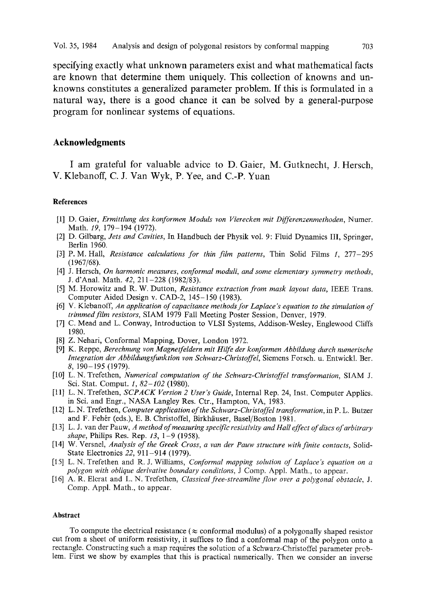**specifying exactly what unknown parameters exist and what mathematical facts are known that determine them uniquely. This collection of knowns and unknowns constitutes a generalized parameter problem. If this is formulated in a natural way, there is a good chance it can be solved by a general-purpose program for nonlinear systems of equations.** 

## **Acknowledgments**

I am grateful for valuable advice to D. Gaier, M. Gutknecht, J. Hersch, V. Klebanoff, C. J. Van Wyk, P. Yee, and C.-P. Yuan

#### **References**

- [1] D. Gaier, *Ermittlung des konformen Moduls yon Vierecken mit Differenzenmethoden,* Numer. Math. *19,* 179-194 (1972).
- [2] D. Gilbarg, *Jets and Cavities,* In Handbuch der Physik vol. 9: Fluid Dynamics III, Springer, Berlin 1960.
- [3] P. M. Hall, *Resistance calculations for thin film patterns,* Thin Solid Films 1, 277-295 (1967/68).
- [4] J. Hersch, *On harmonic measures, eonformal moduli, and some elementary symmetry methods,*  J. d'Anal. Math. *42,* 211-228 (1982/83).
- [5] M. Horowitz and R. W. Dutton, *Resistance extraction from mask layout data,* IEEE Trans. Computer Aided Design v. CAD-2, 145-150 (1983).
- [6] V. Klebanoff, *An application of capacitance methods for Laplace's equation to the simulation of trimmed film resistors,* SIAM 1979 Fall Meeting Poster Session, Denver, 1979.
- [7] C. Mead and L. Conway, Introduction to VLSI Systems, Addison-Wesley, Englewood Cliffs 1980.
- [8] Z. Nehari, Conformal Mapping, Dover, London 1972.
- [9] K. Reppe, *Berechnung yon Magnetfeldern mit Hilfe der konformen Abbildung dutch numerische Integration der Abbildungsfunktion yon Schwarz-Christoffel,* Siemens Forsch. u. Entwickl. Bet. 8, 190-195 (1979).
- [10] L. N. Trefethen, *Numerical computation of the Schwarz-Christoffel transformation,* SIAM J. Sci. Stat. Comput. *1, 82-102* (1980).
- [11] L.N. Trefethen, *SCPACK Version 2 User's Guide,* Internal Rep. 24, Inst. Computer Applics. in Sci. and Engr., NASA Langley Res. Ctr., Hampton, VA, 1983.
- [12] L.N. Trefethen, *Computer application of the Schwarz-Christoffel transformation,* in P. L. Butzer and F. Fehér (eds.), E. B. Christoffel, Birkhäuser, Basel/Boston 1981.
- [I 3] L. J. van der Pauw, *A method of measuring specific resistivity and Hall effect of discs of arbitrary shape,* Philips Res. Rep. *13,* 1-9 (1958).
- [14] W. Versnel, *Analysis of the Greek Cross, a van der Pauw structure with finite contacts,* Solid-State Electronics *22,* 911-914 (1979).
- [15] L. N. Trefethen and R. J. Williams, *Conformal mapping solution of Laplace's equation on a polygon with oblique derivative boundary conditions,* J Comp. Appl. Math., to appear.
- [16] A. R. Elcrat and L. N. Trefethen, *Classical free-streamline flow over a polygonal obstacle, J.*  Comp. Appl. Math., to appear.

#### **Abstract**

To compute the electrical resistance ( $\approx$  conformal modulus) of a polygonally shaped resistor cut from a sheet of uniform resistivity, it suffices to find a conformal map of the polygon onto a rectangle. Constructing such a map requires the solution of a Schwarz-Christoffel parameter problem. First we show by examples that this is practical numerically. Then we consider an inverse